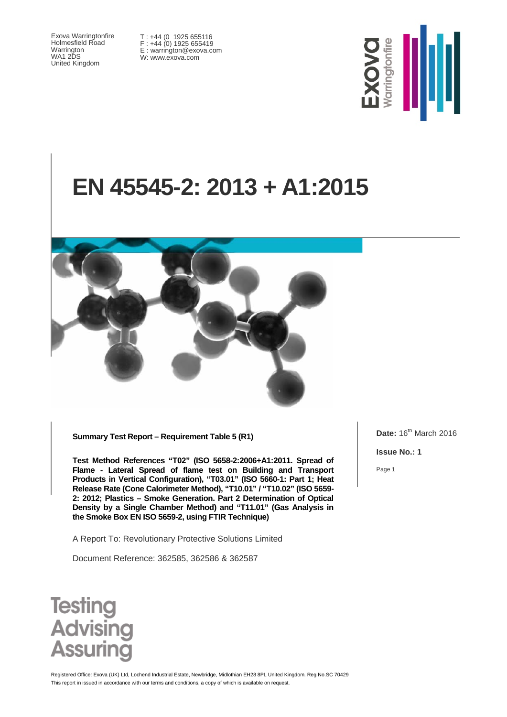Exova Warringtonfire Holmesfield Road Warrington WA1 2DS United Kingdom

T : +44 (0 1925 655116 F : +44 (0) 1925 655419 E : warrington@exova.com W: www.exova.com



# **EN 45545-2: 2013 + A1:2015**



**Summary Test Report – Requirement Table 5 (R1)**

**Test Method References "T02" (ISO 5658-2:2006+A1:2011. Spread of Flame - Lateral Spread of flame test on Building and Transport Products in Vertical Configuration), "T03.01" (ISO 5660-1: Part 1; Heat Release Rate (Cone Calorimeter Method), "T10.01" / "T10.02" (ISO 5659- 2: 2012; Plastics – Smoke Generation. Part 2 Determination of Optical Density by a Single Chamber Method) and "T11.01" (Gas Analysis in the Smoke Box EN ISO 5659-2, using FTIR Technique)**

A Report To: Revolutionary Protective Solutions Limited

Document Reference: 362585, 362586 & 362587

**Date:** 16<sup>th</sup> March 2016

**Issue No.: 1**

Page 1



This report in issued in accordance with our terms and conditions, a copy of which is available on request Registered Office: Exova (UK) Ltd, Lochend Industrial Estate, Newbridge, Midlothian EH28 8PL United Kingdom. Reg No.SC 70429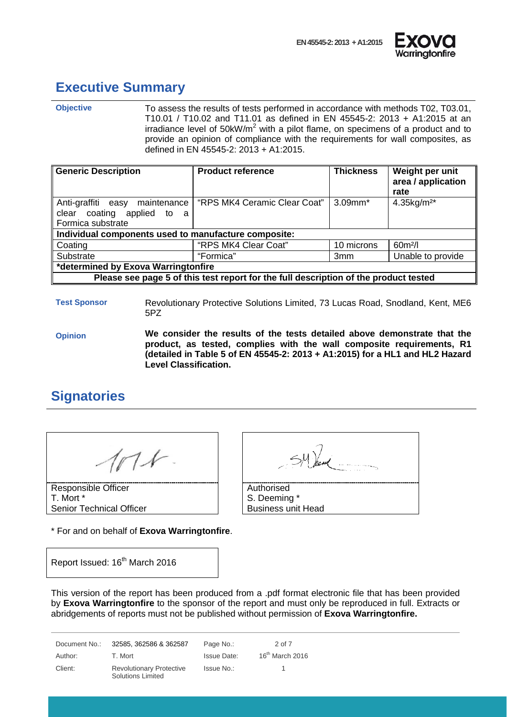



#### <span id="page-1-0"></span>**Executive Summary**

**Objective** To assess the results of tests performed in accordance with methods T02, T03.01, T10.01 / T10.02 and T11.01 as defined in EN 45545-2: 2013 + A1:2015 at an irradiance level of 50kW/ $m^2$  with a pilot flame, on specimens of a product and to provide an opinion of compliance with the requirements for wall composites, as defined in EN 45545-2: 2013 + A1:2015.

| <b>Generic Description</b>                                                           | <b>Product reference</b>     | <b>Thickness</b> | Weight per unit<br>area / application<br>rate |
|--------------------------------------------------------------------------------------|------------------------------|------------------|-----------------------------------------------|
| Anti-graffiti easy maintenance<br>clear coating applied to a<br>Formica substrate    | "RPS MK4 Ceramic Clear Coat" | $3.09$ mm $*$    | 4.35kg/m <sup>2*</sup>                        |
| Individual components used to manufacture composite:                                 |                              |                  |                                               |
| Coating                                                                              | "RPS MK4 Clear Coat"         | 10 microns       | $60m^2/l$                                     |
| Substrate                                                                            | "Formica"                    | 3mm              | Unable to provide                             |
| *determined by Exova Warringtonfire                                                  |                              |                  |                                               |
| Please see page 5 of this test report for the full description of the product tested |                              |                  |                                               |

**Test Sponsor** Revolutionary Protective Solutions Limited, 73 Lucas Road, Snodland, Kent, ME6 5PZ

**Opinion We consider the results of the tests detailed above demonstrate that the product, as tested, complies with the wall composite requirements, R1 (detailed in Table 5 of EN 45545-2: 2013 + A1:2015) for a HL1 and HL2 Hazard Level Classification.**

# <span id="page-1-1"></span>**Signatories**

Responsible Officer T. Mort \* Senior Technical Officer

\* For and on behalf of **Exova Warringtonfire**.

Report Issued: 16<sup>th</sup> March 2016

| Authorised                |
|---------------------------|
| S. Deeming *              |
| <b>Business unit Head</b> |

This version of the report has been produced from a .pdf format electronic file that has been provided by **Exova Warringtonfire** to the sponsor of the report and must only be reproduced in full. Extracts or abridgements of reports must not be published without permission of **Exova Warringtonfire.**

Document No.: 32585, 362586 & 362587 Page No.: 2 of 7 Author: T. Mort Charles and Muslim Issue Date: 16<sup>th</sup> March 2016 Client: Revolutionary Protective Solutions Limited Issue No.: 1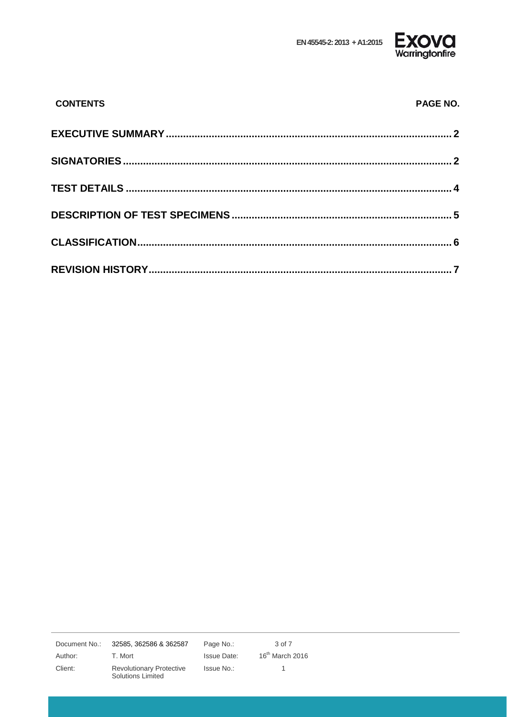EN 45545-2: 2013 + A1:2015



| <b>CONTENTS</b> | PAGE NO. |
|-----------------|----------|
|                 |          |
|                 |          |
|                 |          |
|                 |          |
|                 |          |
|                 |          |

Document No.: Author: Client:

32585, 362586 & 362587

T. Mort Revolutionary Protective Solutions Limited

Page No.: Issue Date: Issue No.:

 $3$  of  $7\,$  $16^{th}$  March 2016  $\overline{1}$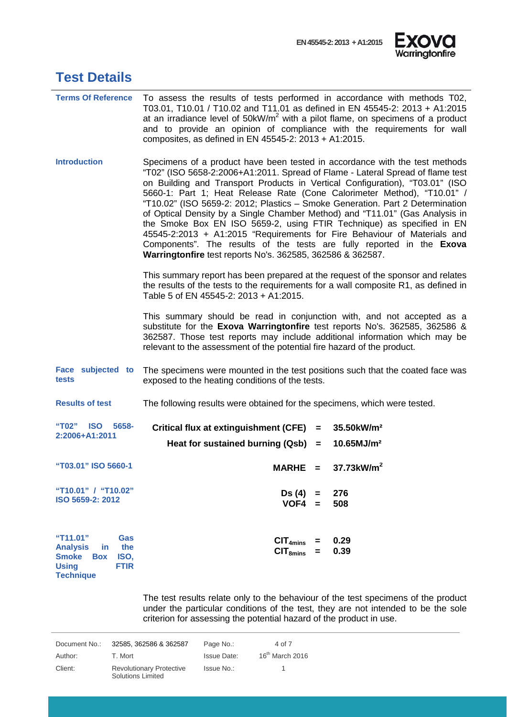

<span id="page-3-0"></span>

|  | <b>Test Details</b> |
|--|---------------------|
|--|---------------------|

| <b>Terms Of Reference</b>                                                                                                                 | To assess the results of tests performed in accordance with methods T02,<br>T03.01, T10.01 / T10.02 and T11.01 as defined in EN 45545-2: 2013 + A1:2015<br>at an irradiance level of 50kW/m <sup>2</sup> with a pilot flame, on specimens of a product<br>and to provide an opinion of compliance with the requirements for wall<br>composites, as defined in EN 45545-2: 2013 + A1:2015.                                                                                                                                                                                                                                                                                                                                                                                             |  |  |
|-------------------------------------------------------------------------------------------------------------------------------------------|---------------------------------------------------------------------------------------------------------------------------------------------------------------------------------------------------------------------------------------------------------------------------------------------------------------------------------------------------------------------------------------------------------------------------------------------------------------------------------------------------------------------------------------------------------------------------------------------------------------------------------------------------------------------------------------------------------------------------------------------------------------------------------------|--|--|
| <b>Introduction</b>                                                                                                                       | Specimens of a product have been tested in accordance with the test methods<br>"T02" (ISO 5658-2:2006+A1:2011. Spread of Flame - Lateral Spread of flame test<br>on Building and Transport Products in Vertical Configuration), "T03.01" (ISO<br>5660-1: Part 1; Heat Release Rate (Cone Calorimeter Method), "T10.01" /<br>"T10.02" (ISO 5659-2: 2012; Plastics - Smoke Generation. Part 2 Determination<br>of Optical Density by a Single Chamber Method) and "T11.01" (Gas Analysis in<br>the Smoke Box EN ISO 5659-2, using FTIR Technique) as specified in EN<br>45545-2:2013 + A1:2015 "Requirements for Fire Behaviour of Materials and<br>Components". The results of the tests are fully reported in the Exova<br>Warringtonfire test reports No's. 362585, 362586 & 362587. |  |  |
|                                                                                                                                           | This summary report has been prepared at the request of the sponsor and relates<br>the results of the tests to the requirements for a wall composite R1, as defined in<br>Table 5 of EN 45545-2: 2013 + A1:2015.                                                                                                                                                                                                                                                                                                                                                                                                                                                                                                                                                                      |  |  |
|                                                                                                                                           | This summary should be read in conjunction with, and not accepted as a<br>substitute for the Exova Warringtonfire test reports No's. 362585, 362586 &<br>362587. Those test reports may include additional information which may be<br>relevant to the assessment of the potential fire hazard of the product.                                                                                                                                                                                                                                                                                                                                                                                                                                                                        |  |  |
| Face subjected to<br>tests                                                                                                                | The specimens were mounted in the test positions such that the coated face was<br>exposed to the heating conditions of the tests.                                                                                                                                                                                                                                                                                                                                                                                                                                                                                                                                                                                                                                                     |  |  |
| <b>Results of test</b>                                                                                                                    | The following results were obtained for the specimens, which were tested.                                                                                                                                                                                                                                                                                                                                                                                                                                                                                                                                                                                                                                                                                                             |  |  |
| "T02" ISO<br>5658-<br>2:2006+A1:2011                                                                                                      | Critical flux at extinguishment (CFE) =<br>35.50kW/m <sup>2</sup>                                                                                                                                                                                                                                                                                                                                                                                                                                                                                                                                                                                                                                                                                                                     |  |  |
|                                                                                                                                           | Heat for sustained burning $(Qsb) =$<br>10.65MJ/m <sup>2</sup>                                                                                                                                                                                                                                                                                                                                                                                                                                                                                                                                                                                                                                                                                                                        |  |  |
| "T03.01" ISO 5660-1                                                                                                                       | MARHE = $37.73 \text{kW/m}^2$                                                                                                                                                                                                                                                                                                                                                                                                                                                                                                                                                                                                                                                                                                                                                         |  |  |
| "T10.01" / "T10.02"<br>ISO 5659-2: 2012                                                                                                   | Ds (4)<br>276<br>$=$<br>$VOF4 =$<br>508                                                                                                                                                                                                                                                                                                                                                                                                                                                                                                                                                                                                                                                                                                                                               |  |  |
| "T11.01"<br>Gas<br>the<br><b>Analysis</b><br>in.<br><b>Smoke</b><br>ISO,<br><b>Box</b><br><b>FTIR</b><br><b>Using</b><br><b>Technique</b> | 0.29<br>CIT <sub>4mins</sub><br>0.39<br>CIT <sub>8mins</sub><br>$=$                                                                                                                                                                                                                                                                                                                                                                                                                                                                                                                                                                                                                                                                                                                   |  |  |

The test results relate only to the behaviour of the test specimens of the product under the particular conditions of the test, they are not intended to be the sole criterion for assessing the potential hazard of the product in use.

| Document No.: | 32585, 362586 & 362587                                      | Page No.:          | 4 of 7            |
|---------------|-------------------------------------------------------------|--------------------|-------------------|
| Author:       | T. Mort                                                     | <b>Issue Date:</b> | $16th$ March 2016 |
| Client:       | <b>Revolutionary Protective</b><br><b>Solutions Limited</b> | Issue No.:         |                   |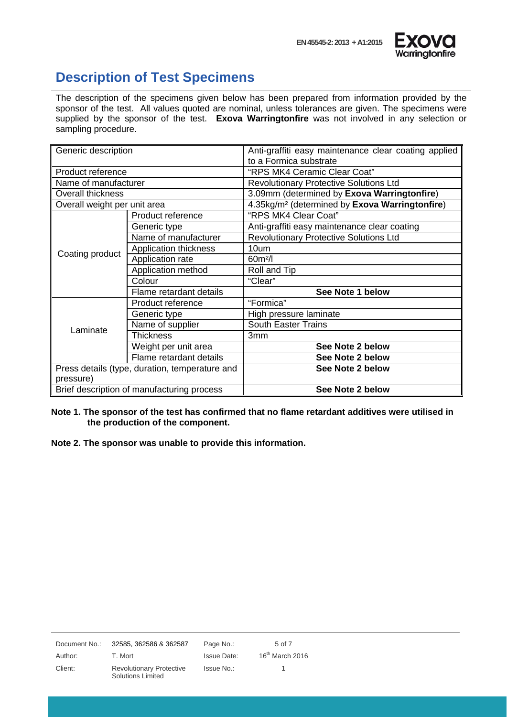

#### <span id="page-4-0"></span>**Description of Test Specimens**

The description of the specimens given below has been prepared from information provided by the sponsor of the test. All values quoted are nominal, unless tolerances are given. The specimens were supplied by the sponsor of the test. **Exova Warringtonfire** was not involved in any selection or sampling procedure.

| Generic description          |                                                | Anti-graffiti easy maintenance clear coating applied       |
|------------------------------|------------------------------------------------|------------------------------------------------------------|
|                              |                                                | to a Formica substrate                                     |
| Product reference            |                                                | "RPS MK4 Ceramic Clear Coat"                               |
| Name of manufacturer         |                                                | <b>Revolutionary Protective Solutions Ltd</b>              |
| Overall thickness            |                                                | 3.09mm (determined by Exova Warringtonfire)                |
| Overall weight per unit area |                                                | 4.35kg/m <sup>2</sup> (determined by Exova Warringtonfire) |
|                              | Product reference                              | "RPS MK4 Clear Coat"                                       |
|                              | Generic type                                   | Anti-graffiti easy maintenance clear coating               |
|                              | Name of manufacturer                           | <b>Revolutionary Protective Solutions Ltd</b>              |
|                              | Application thickness                          | 10um                                                       |
| Coating product              | Application rate                               | $60m^2/l$                                                  |
|                              | Application method                             | Roll and Tip                                               |
|                              | Colour                                         | "Clear"                                                    |
|                              | Flame retardant details                        | See Note 1 below                                           |
|                              | Product reference                              | "Formica"                                                  |
|                              | Generic type                                   | High pressure laminate                                     |
| Laminate                     | Name of supplier                               | <b>South Easter Trains</b>                                 |
|                              | <b>Thickness</b>                               | 3mm                                                        |
|                              | Weight per unit area                           | See Note 2 below                                           |
|                              | Flame retardant details                        | See Note 2 below                                           |
|                              | Press details (type, duration, temperature and | See Note 2 below                                           |
| pressure)                    |                                                |                                                            |
|                              | Brief description of manufacturing process     | See Note 2 below                                           |

#### **Note 1. The sponsor of the test has confirmed that no flame retardant additives were utilised in the production of the component.**

**Note 2. The sponsor was unable to provide this information.**

| Document No.: | 32585, 362586 & 362587                                      | Page No.:          | 5 of 7            |
|---------------|-------------------------------------------------------------|--------------------|-------------------|
| Author:       | T. Mort                                                     | <b>Issue Date:</b> | $16th$ March 2016 |
| Client:       | <b>Revolutionary Protective</b><br><b>Solutions Limited</b> | Issue No.:         |                   |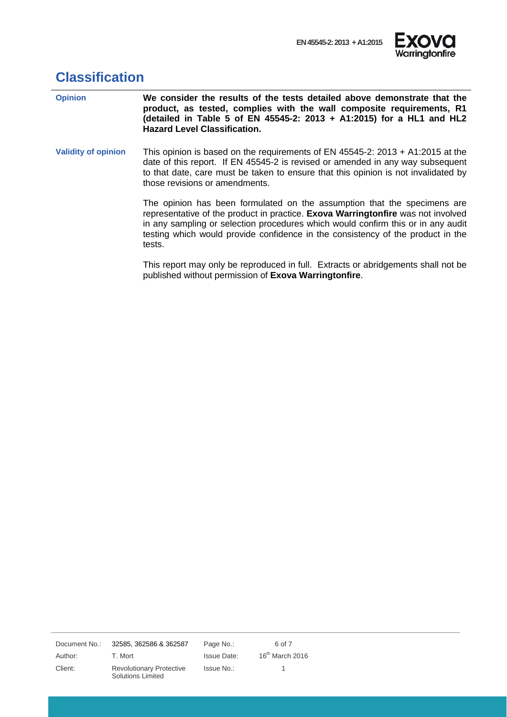

# <span id="page-5-0"></span>**Classification**

| <b>Opinion</b>             | We consider the results of the tests detailed above demonstrate that the<br>product, as tested, complies with the wall composite requirements, R1<br>(detailed in Table 5 of EN 45545-2: 2013 + A1:2015) for a HL1 and HL2<br><b>Hazard Level Classification.</b>                                                                             |
|----------------------------|-----------------------------------------------------------------------------------------------------------------------------------------------------------------------------------------------------------------------------------------------------------------------------------------------------------------------------------------------|
| <b>Validity of opinion</b> | This opinion is based on the requirements of EN 45545-2: 2013 + A1:2015 at the<br>date of this report. If EN 45545-2 is revised or amended in any way subsequent<br>to that date, care must be taken to ensure that this opinion is not invalidated by<br>those revisions or amendments.                                                      |
|                            | The opinion has been formulated on the assumption that the specimens are<br>representative of the product in practice. Exova Warringtonfire was not involved<br>in any sampling or selection procedures which would confirm this or in any audit<br>testing which would provide confidence in the consistency of the product in the<br>tests. |
|                            | This report may only be reproduced in full. Extracts or abridgements shall not be<br>published without permission of Exova Warringtonfire.                                                                                                                                                                                                    |

Document No.: 32585, 362586 & 362587 Page No.: 6 of 7

Author: T. Mort Channel Issue Date: 16<sup>th</sup> March 2016 Client: Revolutionary Protective Solutions Limited

Issue No.: 1